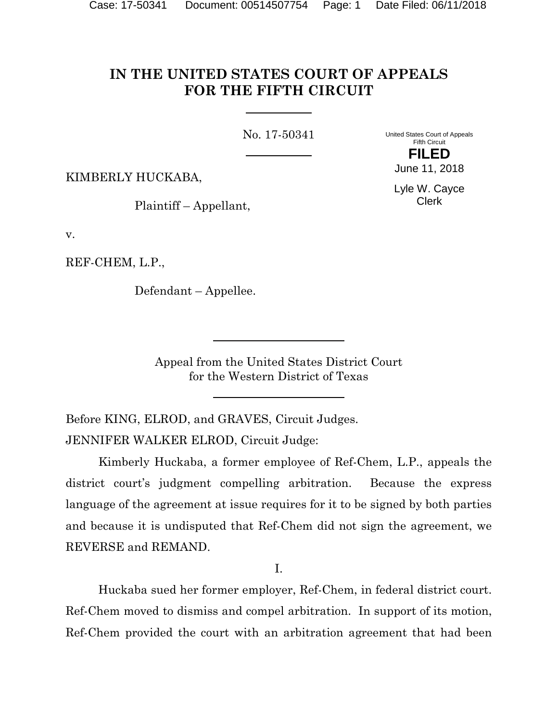# **IN THE UNITED STATES COURT OF APPEALS FOR THE FIFTH CIRCUIT**

No. 17-50341

United States Court of Appeals Fifth Circuit **FILED**

KIMBERLY HUCKABA,

Plaintiff – Appellant,

v.

REF-CHEM, L.P.,

Defendant – Appellee.

June 11, 2018 Lyle W. Cayce

Clerk

Appeal from the United States District Court for the Western District of Texas

Before KING, ELROD, and GRAVES, Circuit Judges. JENNIFER WALKER ELROD, Circuit Judge:

Kimberly Huckaba, a former employee of Ref-Chem, L.P., appeals the district court's judgment compelling arbitration. Because the express language of the agreement at issue requires for it to be signed by both parties and because it is undisputed that Ref-Chem did not sign the agreement, we REVERSE and REMAND.

I.

Huckaba sued her former employer, Ref-Chem, in federal district court. Ref-Chem moved to dismiss and compel arbitration. In support of its motion, Ref-Chem provided the court with an arbitration agreement that had been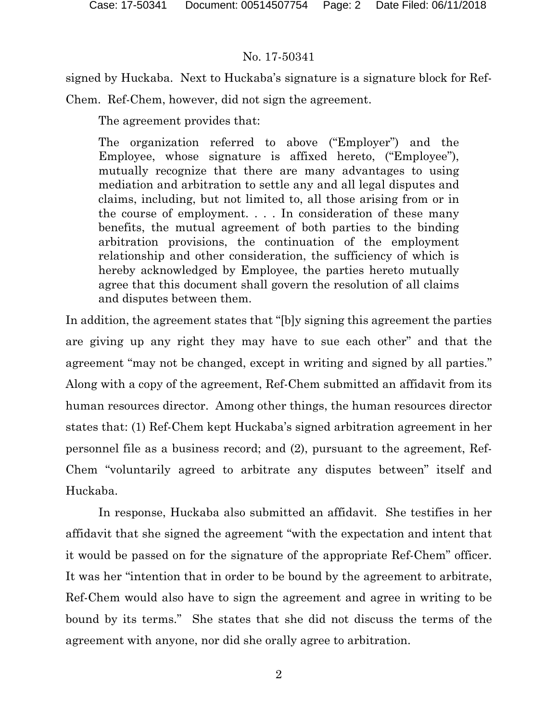# No. 17-50341

signed by Huckaba. Next to Huckaba's signature is a signature block for Ref-Chem. Ref-Chem, however, did not sign the agreement.

The agreement provides that:

The organization referred to above ("Employer") and the Employee, whose signature is affixed hereto, ("Employee"), mutually recognize that there are many advantages to using mediation and arbitration to settle any and all legal disputes and claims, including, but not limited to, all those arising from or in the course of employment. . . . In consideration of these many benefits, the mutual agreement of both parties to the binding arbitration provisions, the continuation of the employment relationship and other consideration, the sufficiency of which is hereby acknowledged by Employee, the parties hereto mutually agree that this document shall govern the resolution of all claims and disputes between them.

In addition, the agreement states that "[b]y signing this agreement the parties are giving up any right they may have to sue each other" and that the agreement "may not be changed, except in writing and signed by all parties." Along with a copy of the agreement, Ref-Chem submitted an affidavit from its human resources director. Among other things, the human resources director states that: (1) Ref-Chem kept Huckaba's signed arbitration agreement in her personnel file as a business record; and (2), pursuant to the agreement, Ref-Chem "voluntarily agreed to arbitrate any disputes between" itself and Huckaba.

In response, Huckaba also submitted an affidavit. She testifies in her affidavit that she signed the agreement "with the expectation and intent that it would be passed on for the signature of the appropriate Ref-Chem" officer. It was her "intention that in order to be bound by the agreement to arbitrate, Ref-Chem would also have to sign the agreement and agree in writing to be bound by its terms." She states that she did not discuss the terms of the agreement with anyone, nor did she orally agree to arbitration.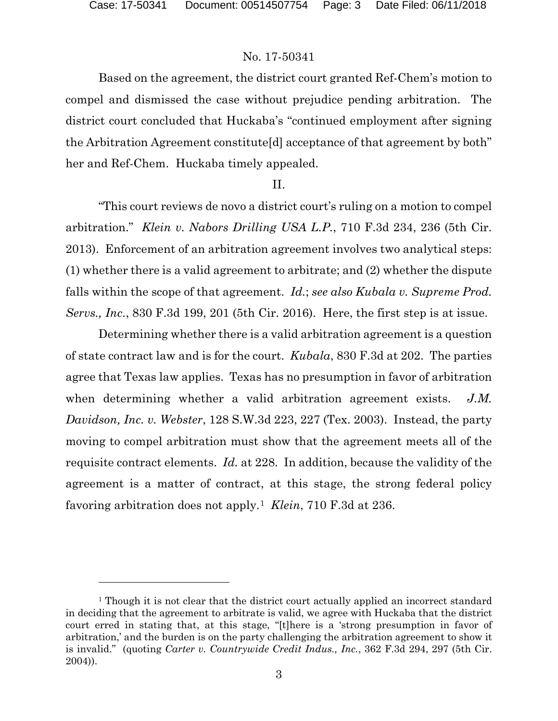$\overline{a}$ 

### No. 17-50341

Based on the agreement, the district court granted Ref-Chem's motion to compel and dismissed the case without prejudice pending arbitration. The district court concluded that Huckaba's "continued employment after signing the Arbitration Agreement constitute[d] acceptance of that agreement by both" her and Ref-Chem. Huckaba timely appealed.

#### II.

"This court reviews de novo a district court's ruling on a motion to compel arbitration." *Klein v. Nabors Drilling USA L.P.*, 710 F.3d 234, 236 (5th Cir. 2013). Enforcement of an arbitration agreement involves two analytical steps: (1) whether there is a valid agreement to arbitrate; and (2) whether the dispute falls within the scope of that agreement. *Id.*; *see also Kubala v. Supreme Prod. Servs., Inc.*, 830 F.3d 199, 201 (5th Cir. 2016). Here, the first step is at issue.

Determining whether there is a valid arbitration agreement is a question of state contract law and is for the court. *Kubala*, 830 F.3d at 202. The parties agree that Texas law applies. Texas has no presumption in favor of arbitration when determining whether a valid arbitration agreement exists. *J.M. Davidson, Inc. v. Webster*, 128 S.W.3d 223, 227 (Tex. 2003). Instead, the party moving to compel arbitration must show that the agreement meets all of the requisite contract elements. *Id.* at 228. In addition, because the validity of the agreement is a matter of contract, at this stage, the strong federal policy favoring arbitration does not apply.[1](#page-2-0) *Klein*, 710 F.3d at 236.

<span id="page-2-0"></span><sup>&</sup>lt;sup>1</sup> Though it is not clear that the district court actually applied an incorrect standard in deciding that the agreement to arbitrate is valid, we agree with Huckaba that the district court erred in stating that, at this stage, "[t]here is a 'strong presumption in favor of arbitration,' and the burden is on the party challenging the arbitration agreement to show it is invalid." (quoting *Carter v. Countrywide Credit Indus., Inc.*, 362 F.3d 294, 297 (5th Cir. 2004)).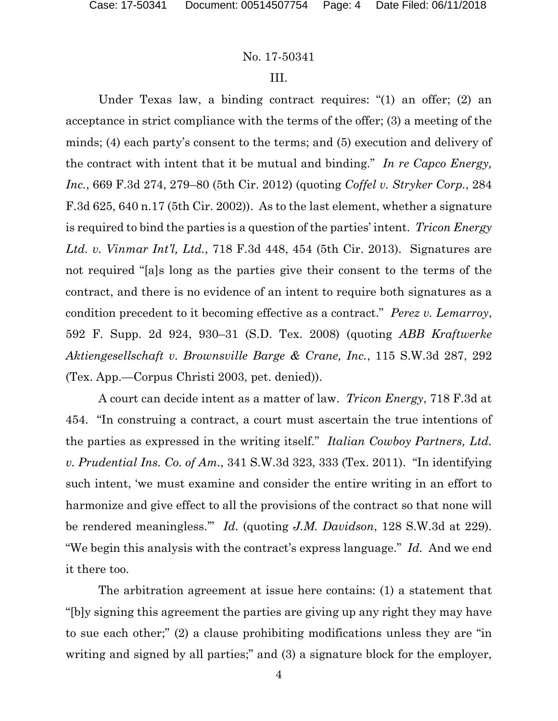#### No. 17-50341

#### III.

Under Texas law, a binding contract requires: "(1) an offer; (2) an acceptance in strict compliance with the terms of the offer; (3) a meeting of the minds; (4) each party's consent to the terms; and (5) execution and delivery of the contract with intent that it be mutual and binding." *In re Capco Energy, Inc.*, 669 F.3d 274, 279–80 (5th Cir. 2012) (quoting *Coffel v. Stryker Corp.*, 284 F.3d 625, 640 n.17 (5th Cir. 2002)). As to the last element, whether a signature is required to bind the parties is a question of the parties' intent. *Tricon Energy Ltd. v. Vinmar Int'l, Ltd.*, 718 F.3d 448, 454 (5th Cir. 2013). Signatures are not required "[a]s long as the parties give their consent to the terms of the contract, and there is no evidence of an intent to require both signatures as a condition precedent to it becoming effective as a contract." *Perez v. Lemarroy*, 592 F. Supp. 2d 924, 930–31 (S.D. Tex. 2008) (quoting *ABB Kraftwerke Aktiengesellschaft v. Brownsville Barge & Crane, Inc.*, 115 S.W.3d 287, 292 (Tex. App.—Corpus Christi 2003, pet. denied)).

A court can decide intent as a matter of law. *Tricon Energy*, 718 F.3d at 454. "In construing a contract, a court must ascertain the true intentions of the parties as expressed in the writing itself." *Italian Cowboy Partners, Ltd. v. Prudential Ins. Co. of Am.*, 341 S.W.3d 323, 333 (Tex. 2011). "In identifying such intent, 'we must examine and consider the entire writing in an effort to harmonize and give effect to all the provisions of the contract so that none will be rendered meaningless.'" *Id.* (quoting *J.M. Davidson*, 128 S.W.3d at 229). "We begin this analysis with the contract's express language." *Id.* And we end it there too.

The arbitration agreement at issue here contains: (1) a statement that "[b]y signing this agreement the parties are giving up any right they may have to sue each other;" (2) a clause prohibiting modifications unless they are "in writing and signed by all parties;" and (3) a signature block for the employer,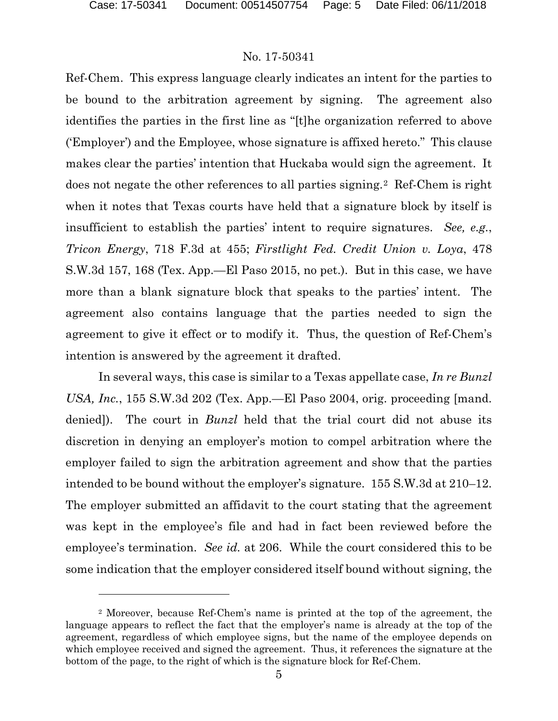l

#### No. 17-50341

Ref-Chem. This express language clearly indicates an intent for the parties to be bound to the arbitration agreement by signing. The agreement also identifies the parties in the first line as "[t]he organization referred to above ('Employer') and the Employee, whose signature is affixed hereto." This clause makes clear the parties' intention that Huckaba would sign the agreement. It does not negate the other references to all parties signing.[2](#page-4-0) Ref-Chem is right when it notes that Texas courts have held that a signature block by itself is insufficient to establish the parties' intent to require signatures. *See, e.g.*, *Tricon Energy*, 718 F.3d at 455; *Firstlight Fed. Credit Union v. Loya*, 478 S.W.3d 157, 168 (Tex. App.—El Paso 2015, no pet.). But in this case, we have more than a blank signature block that speaks to the parties' intent. The agreement also contains language that the parties needed to sign the agreement to give it effect or to modify it. Thus, the question of Ref-Chem's intention is answered by the agreement it drafted.

In several ways, this case is similar to a Texas appellate case, *In re Bunzl USA, Inc.*, 155 S.W.3d 202 (Tex. App.—El Paso 2004, orig. proceeding [mand. denied]). The court in *Bunzl* held that the trial court did not abuse its discretion in denying an employer's motion to compel arbitration where the employer failed to sign the arbitration agreement and show that the parties intended to be bound without the employer's signature. 155 S.W.3d at 210–12. The employer submitted an affidavit to the court stating that the agreement was kept in the employee's file and had in fact been reviewed before the employee's termination. *See id.* at 206. While the court considered this to be some indication that the employer considered itself bound without signing, the

<span id="page-4-0"></span><sup>2</sup> Moreover, because Ref-Chem's name is printed at the top of the agreement, the language appears to reflect the fact that the employer's name is already at the top of the agreement, regardless of which employee signs, but the name of the employee depends on which employee received and signed the agreement. Thus, it references the signature at the bottom of the page, to the right of which is the signature block for Ref-Chem.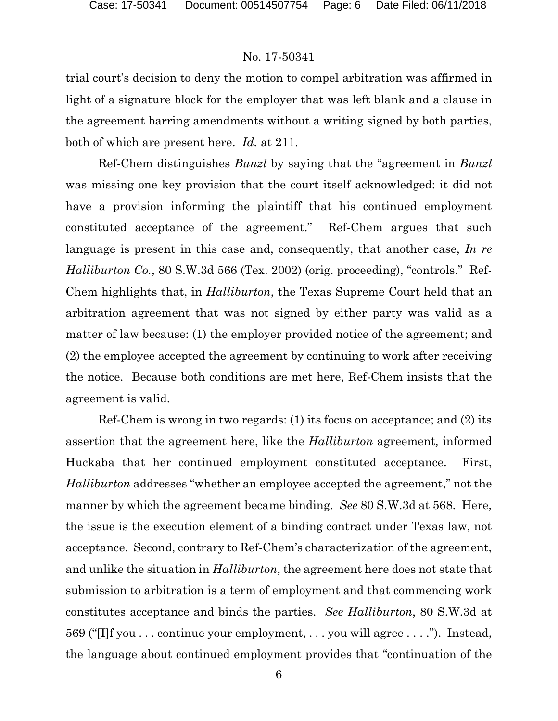#### No. 17-50341

trial court's decision to deny the motion to compel arbitration was affirmed in light of a signature block for the employer that was left blank and a clause in the agreement barring amendments without a writing signed by both parties, both of which are present here. *Id.* at 211.

Ref-Chem distinguishes *Bunzl* by saying that the "agreement in *Bunzl*  was missing one key provision that the court itself acknowledged: it did not have a provision informing the plaintiff that his continued employment constituted acceptance of the agreement." Ref-Chem argues that such language is present in this case and, consequently, that another case, *In re Halliburton Co.*, 80 S.W.3d 566 (Tex. 2002) (orig. proceeding), "controls." Ref-Chem highlights that, in *Halliburton*, the Texas Supreme Court held that an arbitration agreement that was not signed by either party was valid as a matter of law because: (1) the employer provided notice of the agreement; and (2) the employee accepted the agreement by continuing to work after receiving the notice. Because both conditions are met here, Ref-Chem insists that the agreement is valid.

Ref-Chem is wrong in two regards: (1) its focus on acceptance; and (2) its assertion that the agreement here, like the *Halliburton* agreement*,* informed Huckaba that her continued employment constituted acceptance. First, *Halliburton* addresses "whether an employee accepted the agreement," not the manner by which the agreement became binding. *See* 80 S.W.3d at 568. Here, the issue is the execution element of a binding contract under Texas law, not acceptance. Second, contrary to Ref-Chem's characterization of the agreement, and unlike the situation in *Halliburton*, the agreement here does not state that submission to arbitration is a term of employment and that commencing work constitutes acceptance and binds the parties. *See Halliburton*, 80 S.W.3d at 569 ("[I]f you . . . continue your employment, . . . you will agree . . . ."). Instead, the language about continued employment provides that "continuation of the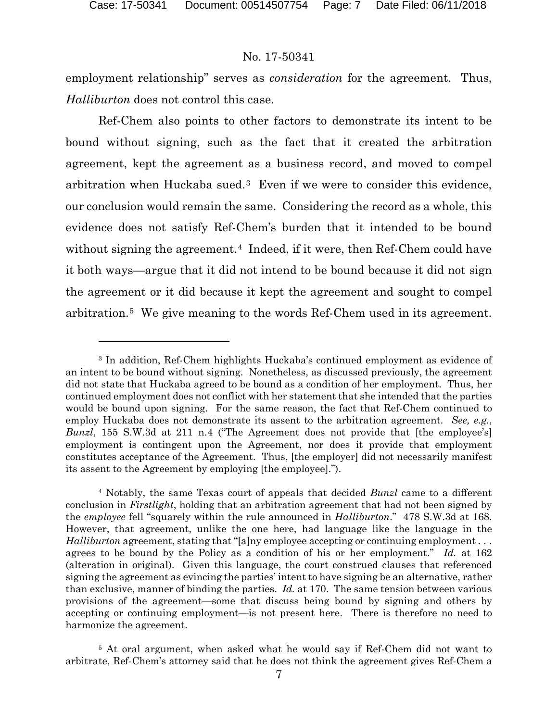$\overline{a}$ 

### No. 17-50341

employment relationship" serves as *consideration* for the agreement. Thus, *Halliburton* does not control this case.

Ref-Chem also points to other factors to demonstrate its intent to be bound without signing, such as the fact that it created the arbitration agreement, kept the agreement as a business record, and moved to compel arbitration when Huckaba sued.[3](#page-6-0) Even if we were to consider this evidence, our conclusion would remain the same. Considering the record as a whole, this evidence does not satisfy Ref-Chem's burden that it intended to be bound without signing the agreement.<sup>4</sup> Indeed, if it were, then Ref-Chem could have it both ways—argue that it did not intend to be bound because it did not sign the agreement or it did because it kept the agreement and sought to compel arbitration.[5](#page-6-2) We give meaning to the words Ref-Chem used in its agreement.

<span id="page-6-0"></span><sup>3</sup> In addition, Ref-Chem highlights Huckaba's continued employment as evidence of an intent to be bound without signing. Nonetheless, as discussed previously, the agreement did not state that Huckaba agreed to be bound as a condition of her employment. Thus, her continued employment does not conflict with her statement that she intended that the parties would be bound upon signing. For the same reason, the fact that Ref-Chem continued to employ Huckaba does not demonstrate its assent to the arbitration agreement. *See, e.g.*, *Bunzl*, 155 S.W.3d at 211 n.4 ("The Agreement does not provide that [the employee's] employment is contingent upon the Agreement, nor does it provide that employment constitutes acceptance of the Agreement. Thus, [the employer] did not necessarily manifest its assent to the Agreement by employing [the employee].").

<span id="page-6-1"></span><sup>4</sup> Notably, the same Texas court of appeals that decided *Bunzl* came to a different conclusion in *Firstlight*, holding that an arbitration agreement that had not been signed by the *employee* fell "squarely within the rule announced in *Halliburton*." 478 S.W.3d at 168. However, that agreement, unlike the one here, had language like the language in the *Halliburton* agreement, stating that "[a]ny employee accepting or continuing employment... agrees to be bound by the Policy as a condition of his or her employment." *Id.* at 162 (alteration in original). Given this language, the court construed clauses that referenced signing the agreement as evincing the parties' intent to have signing be an alternative, rather than exclusive, manner of binding the parties. *Id.* at 170. The same tension between various provisions of the agreement—some that discuss being bound by signing and others by accepting or continuing employment—is not present here. There is therefore no need to harmonize the agreement.

<span id="page-6-2"></span><sup>5</sup> At oral argument, when asked what he would say if Ref-Chem did not want to arbitrate, Ref-Chem's attorney said that he does not think the agreement gives Ref-Chem a